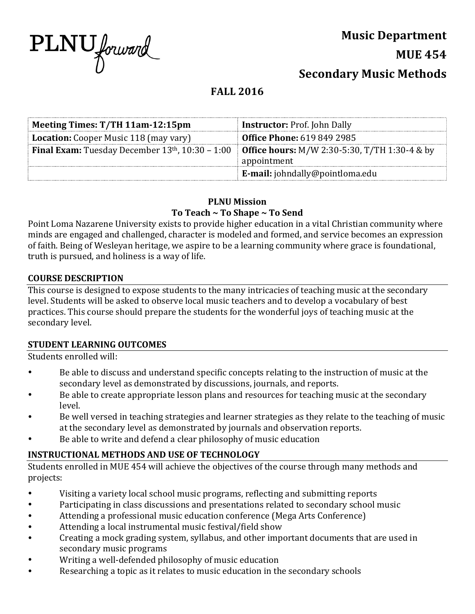

## **Music Department**

**MUE 454**

**Secondary Music Methods** 

# **FALL 2016**

| Meeting Times: T/TH 11am-12:15pm                            | <b>Instructor:</b> Prof. John Dally                  |  |
|-------------------------------------------------------------|------------------------------------------------------|--|
| <b>Location:</b> Cooper Music 118 (may vary)                | <b>Office Phone: 619 849 2985</b>                    |  |
| <b>Final Exam:</b> Tuesday December $13th$ , $10:30 - 1:00$ | <b>Office hours:</b> M/W 2:30-5:30, T/TH 1:30-4 & by |  |
|                                                             | appointment                                          |  |
|                                                             | <b>E-mail:</b> johndally@pointloma.edu               |  |

## **PLNU Mission**

## To Teach ~ To Shape ~ To Send

Point Loma Nazarene University exists to provide higher education in a vital Christian community where minds are engaged and challenged, character is modeled and formed, and service becomes an expression of faith. Being of Wesleyan heritage, we aspire to be a learning community where grace is foundational, truth is pursued, and holiness is a way of life.

## **COURSE DESCRIPTION**

This course is designed to expose students to the many intricacies of teaching music at the secondary level. Students will be asked to observe local music teachers and to develop a vocabulary of best practices. This course should prepare the students for the wonderful joys of teaching music at the secondary level.

## **STUDENT LEARNING OUTCOMES**

Students enrolled will:

- Be able to discuss and understand specific concepts relating to the instruction of music at the secondary level as demonstrated by discussions, journals, and reports.
- Be able to create appropriate lesson plans and resources for teaching music at the secondary level.
- Be well versed in teaching strategies and learner strategies as they relate to the teaching of music at the secondary level as demonstrated by journals and observation reports.
- Be able to write and defend a clear philosophy of music education

## **INSTRUCTIONAL METHODS AND USE OF TECHNOLOGY**

Students enrolled in MUE 454 will achieve the objectives of the course through many methods and projects: 

- Visiting a variety local school music programs, reflecting and submitting reports
- Participating in class discussions and presentations related to secondary school music
- Attending a professional music education conference (Mega Arts Conference)
- Attending a local instrumental music festival/field show
- Creating a mock grading system, syllabus, and other important documents that are used in secondary music programs
- Writing a well-defended philosophy of music education
- Researching a topic as it relates to music education in the secondary schools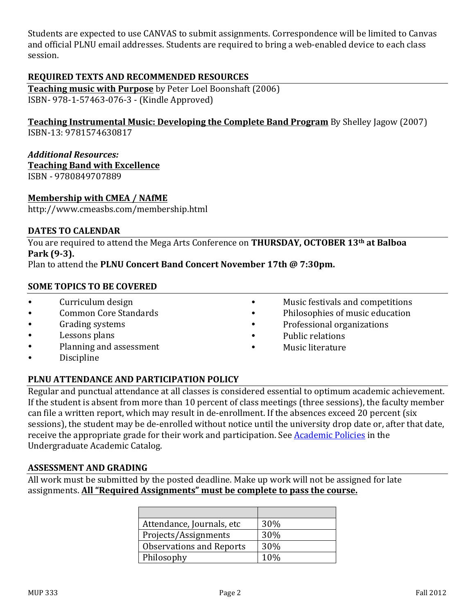Students are expected to use CANVAS to submit assignments. Correspondence will be limited to Canvas and official PLNU email addresses. Students are required to bring a web-enabled device to each class session. 

## **REQUIRED TEXTS AND RECOMMENDED RESOURCES**

**Teaching music with Purpose** by Peter Loel Boonshaft (2006) ISBN- 978-1-57463-076-3 - (Kindle Approved)

**Teaching Instrumental Music: Developing the Complete Band Program** By Shelley Jagow (2007) ISBN-13: 9781574630817 

#### *Additional Resources:*

**Teaching Band with Excellence** 

ISBN - 9780849707889

#### **Membership with CMEA / NAfME**

http://www.cmeasbs.com/membership.html

#### **DATES TO CALENDAR**

You are required to attend the Mega Arts Conference on **THURSDAY, OCTOBER 13th at Balboa Park (9-3).**

Plan to attend the PLNU Concert Band Concert November 17th @ 7:30pm.

#### **SOME TOPICS TO BE COVERED**

- Curriculum design
- Common Core Standards
- Grading systems
- Lessons plans
- Planning and assessment
- Discipline
- Music festivals and competitions
- Philosophies of music education
- Professional organizations
- Public relations
- Music literature

## **PLNU ATTENDANCE AND PARTICIPATION POLICY**

Regular and punctual attendance at all classes is considered essential to optimum academic achievement. If the student is absent from more than 10 percent of class meetings (three sessions), the faculty member can file a written report, which may result in de-enrollment. If the absences exceed 20 percent (six sessions), the student may be de-enrolled without notice until the university drop date or, after that date, receive the appropriate grade for their work and participation. See Academic Policies in the Undergraduate Academic Catalog.

#### **ASSESSMENT AND GRADING**

All work must be submitted by the posted deadline. Make up work will not be assigned for late assignments. All "Required Assignments" must be complete to pass the course.

| Attendance, Journals, etc       | <b>30%</b>      |
|---------------------------------|-----------------|
| Projects/Assignments            | 30%             |
| <b>Observations and Reports</b> | 30%             |
| Philosophy                      | 10 <sub>%</sub> |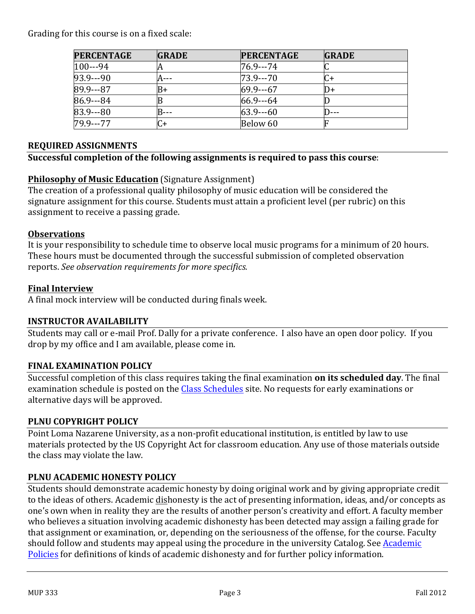Grading for this course is on a fixed scale:

| <b>PERCENTAGE</b> | <b>GRADE</b> | <b>PERCENTAGE</b> | <b>GRADE</b> |
|-------------------|--------------|-------------------|--------------|
| $100--94$         | H            | 76.9---74         |              |
| $93.9--90$        |              | $73.9--70$        | C+           |
| $89.9--87$        | B+           | $69.9 - -67$      | I)+          |
| $86.9 - 84$       |              | $66.9 - -64$      |              |
| $83.9--80$        |              | $63.9--60$        |              |
| $79.9--77$        | C+           | Below 60          |              |

#### **REQUIRED ASSIGNMENTS**

#### **Successful completion of the following assignments is required to pass this course:**

## **Philosophy of Music Education** (Signature Assignment)

The creation of a professional quality philosophy of music education will be considered the signature assignment for this course. Students must attain a proficient level (per rubric) on this assignment to receive a passing grade.

#### **Observations**

It is your responsibility to schedule time to observe local music programs for a minimum of 20 hours. These hours must be documented through the successful submission of completed observation reports. See observation requirements for more specifics.

#### **Final Interview**

A final mock interview will be conducted during finals week.

## **INSTRUCTOR AVAILABILITY**

Students may call or e-mail Prof. Dally for a private conference. I also have an open door policy. If you drop by my office and I am available, please come in.

#### **FINAL EXAMINATION POLICY**

Successful completion of this class requires taking the final examination **on its scheduled day**. The final examination schedule is posted on the Class Schedules site. No requests for early examinations or alternative days will be approved.

#### **PLNU COPYRIGHT POLICY**

Point Loma Nazarene University, as a non-profit educational institution, is entitled by law to use materials protected by the US Copyright Act for classroom education. Any use of those materials outside the class may violate the law.

## **PLNU ACADEMIC HONESTY POLICY**

Students should demonstrate academic honesty by doing original work and by giving appropriate credit to the ideas of others. Academic dishonesty is the act of presenting information, ideas, and/or concepts as one's own when in reality they are the results of another person's creativity and effort. A faculty member who believes a situation involving academic dishonesty has been detected may assign a failing grade for that assignment or examination, or, depending on the seriousness of the offense, for the course. Faculty should follow and students may appeal using the procedure in the university Catalog. See Academic Policies for definitions of kinds of academic dishonesty and for further policy information.